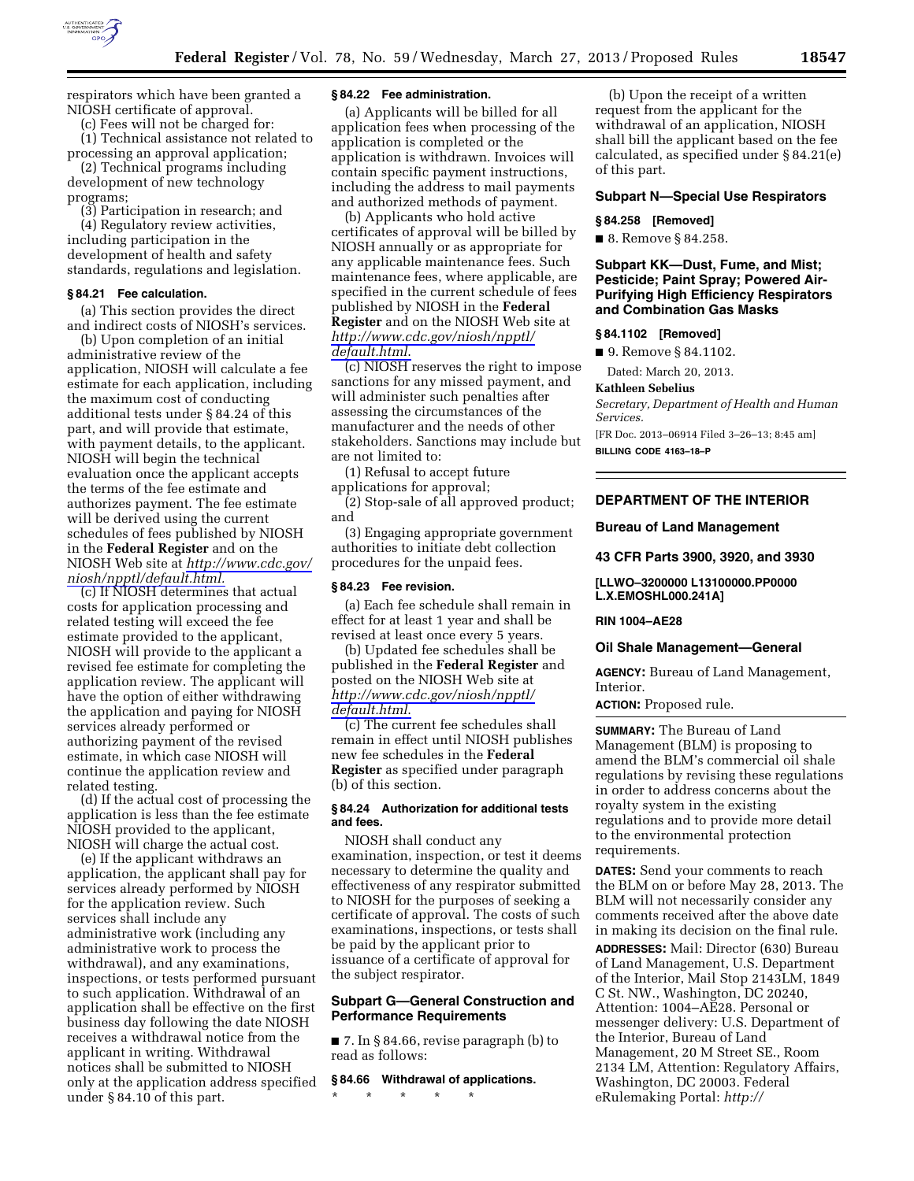

respirators which have been granted a NIOSH certificate of approval.

(c) Fees will not be charged for:

(1) Technical assistance not related to processing an approval application; (2) Technical programs including

development of new technology programs;

(3) Participation in research; and (4) Regulatory review activities, including participation in the development of health and safety standards, regulations and legislation.

## **§ 84.21 Fee calculation.**

(a) This section provides the direct and indirect costs of NIOSH's services.

(b) Upon completion of an initial administrative review of the application, NIOSH will calculate a fee estimate for each application, including the maximum cost of conducting additional tests under § 84.24 of this part, and will provide that estimate, with payment details, to the applicant. NIOSH will begin the technical evaluation once the applicant accepts the terms of the fee estimate and authorizes payment. The fee estimate will be derived using the current schedules of fees published by NIOSH in the **Federal Register** and on the NIOSH Web site at *[http://www.cdc.gov/](http://www.cdc.gov/niosh/npptl/default.html) [niosh/npptl/default.html.](http://www.cdc.gov/niosh/npptl/default.html)* 

(c) If NIOSH determines that actual costs for application processing and related testing will exceed the fee estimate provided to the applicant, NIOSH will provide to the applicant a revised fee estimate for completing the application review. The applicant will have the option of either withdrawing the application and paying for NIOSH services already performed or authorizing payment of the revised estimate, in which case NIOSH will continue the application review and related testing.

(d) If the actual cost of processing the application is less than the fee estimate NIOSH provided to the applicant, NIOSH will charge the actual cost.

(e) If the applicant withdraws an application, the applicant shall pay for services already performed by NIOSH for the application review. Such services shall include any administrative work (including any administrative work to process the withdrawal), and any examinations, inspections, or tests performed pursuant to such application. Withdrawal of an application shall be effective on the first business day following the date NIOSH receives a withdrawal notice from the applicant in writing. Withdrawal notices shall be submitted to NIOSH only at the application address specified under § 84.10 of this part.

#### **§ 84.22 Fee administration.**

(a) Applicants will be billed for all application fees when processing of the application is completed or the application is withdrawn. Invoices will contain specific payment instructions, including the address to mail payments and authorized methods of payment.

(b) Applicants who hold active certificates of approval will be billed by NIOSH annually or as appropriate for any applicable maintenance fees. Such maintenance fees, where applicable, are specified in the current schedule of fees published by NIOSH in the **Federal Register** and on the NIOSH Web site at *[http://www.cdc.gov/niosh/npptl/](http://www.cdc.gov/niosh/npptl/default.html) [default.html](http://www.cdc.gov/niosh/npptl/default.html)*.

(c) NIOSH reserves the right to impose sanctions for any missed payment, and will administer such penalties after assessing the circumstances of the manufacturer and the needs of other stakeholders. Sanctions may include but are not limited to:

(1) Refusal to accept future applications for approval;

(2) Stop-sale of all approved product; and

(3) Engaging appropriate government authorities to initiate debt collection procedures for the unpaid fees.

#### **§ 84.23 Fee revision.**

(a) Each fee schedule shall remain in effect for at least 1 year and shall be revised at least once every 5 years.

(b) Updated fee schedules shall be published in the **Federal Register** and posted on the NIOSH Web site at *[http://www.cdc.gov/niosh/npptl/](http://www.cdc.gov/niosh/npptl/default.html) [default.html](http://www.cdc.gov/niosh/npptl/default.html)*.

(c) The current fee schedules shall remain in effect until NIOSH publishes new fee schedules in the **Federal Register** as specified under paragraph (b) of this section.

## **§ 84.24 Authorization for additional tests and fees.**

NIOSH shall conduct any examination, inspection, or test it deems necessary to determine the quality and effectiveness of any respirator submitted to NIOSH for the purposes of seeking a certificate of approval. The costs of such examinations, inspections, or tests shall be paid by the applicant prior to issuance of a certificate of approval for the subject respirator.

# **Subpart G—General Construction and Performance Requirements**

■ 7. In § 84.66, revise paragraph (b) to read as follows:

# **§ 84.66 Withdrawal of applications.**

\* \* \* \* \*

(b) Upon the receipt of a written request from the applicant for the withdrawal of an application, NIOSH shall bill the applicant based on the fee calculated, as specified under § 84.21(e) of this part.

## **Subpart N—Special Use Respirators**

#### **§ 84.258 [Removed]**

■ 8. Remove § 84.258.

# **Subpart KK—Dust, Fume, and Mist; Pesticide; Paint Spray; Powered Air-Purifying High Efficiency Respirators and Combination Gas Masks**

#### **§ 84.1102 [Removed]**

■ 9. Remove § 84.1102.

Dated: March 20, 2013.

#### **Kathleen Sebelius**

*Secretary, Department of Health and Human Services.* 

[FR Doc. 2013–06914 Filed 3–26–13; 8:45 am]

**BILLING CODE 4163–18–P** 

# **DEPARTMENT OF THE INTERIOR**

#### **Bureau of Land Management**

**43 CFR Parts 3900, 3920, and 3930** 

**[LLWO–3200000 L13100000.PP0000 L.X.EMOSHL000.241A]** 

#### **RIN 1004–AE28**

#### **Oil Shale Management—General**

**AGENCY:** Bureau of Land Management, Interior.

**ACTION:** Proposed rule.

**SUMMARY:** The Bureau of Land Management (BLM) is proposing to amend the BLM's commercial oil shale regulations by revising these regulations in order to address concerns about the royalty system in the existing regulations and to provide more detail to the environmental protection requirements.

**DATES:** Send your comments to reach the BLM on or before May 28, 2013. The BLM will not necessarily consider any comments received after the above date in making its decision on the final rule.

**ADDRESSES:** Mail: Director (630) Bureau of Land Management, U.S. Department of the Interior, Mail Stop 2143LM, 1849 C St. NW., Washington, DC 20240, Attention: 1004–AE28. Personal or messenger delivery: U.S. Department of the Interior, Bureau of Land Management, 20 M Street SE., Room 2134 LM, Attention: Regulatory Affairs, Washington, DC 20003. Federal eRulemaking Portal: *http://*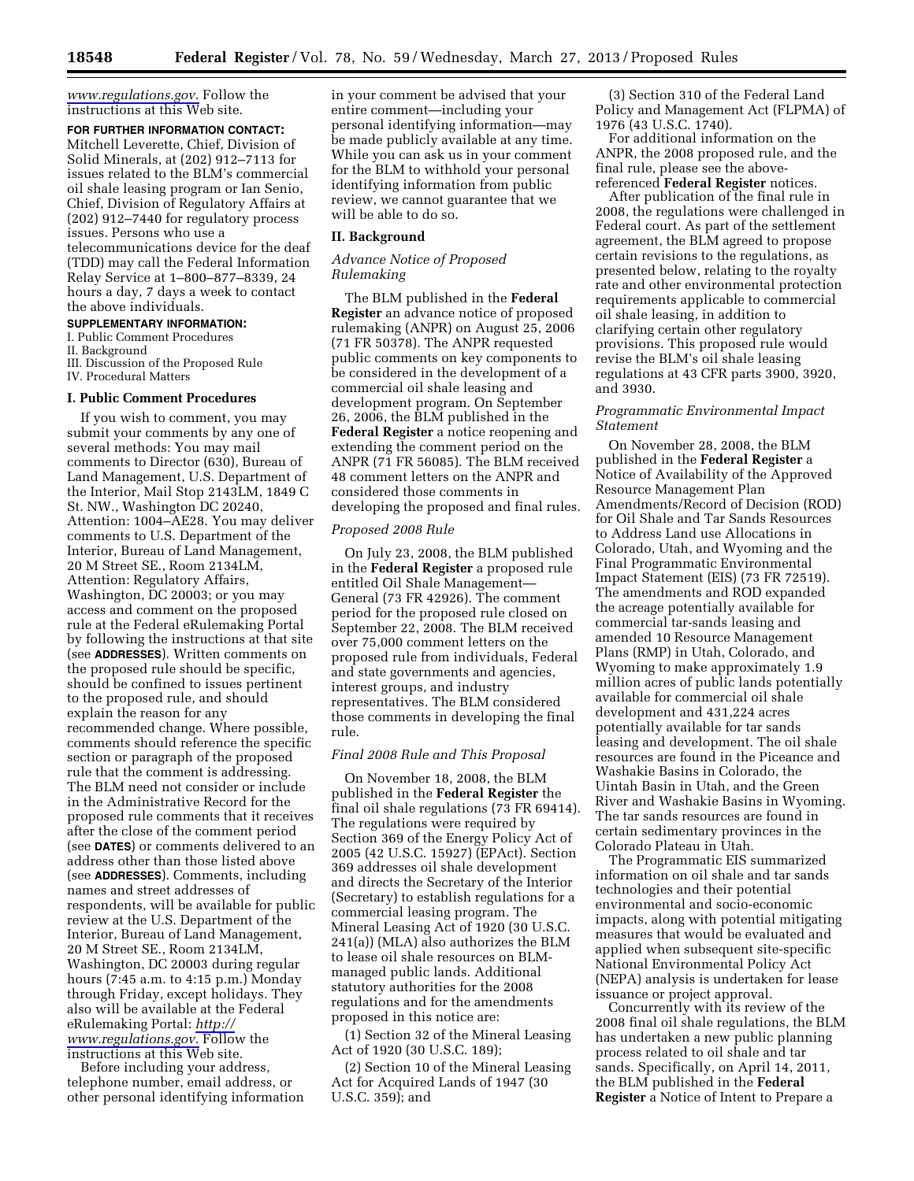*[www.regulations.gov](http://www.regulations.gov)*. Follow the instructions at this Web site.

#### **FOR FURTHER INFORMATION CONTACT:**

Mitchell Leverette, Chief, Division of Solid Minerals, at (202) 912–7113 for issues related to the BLM's commercial oil shale leasing program or Ian Senio, Chief, Division of Regulatory Affairs at (202) 912–7440 for regulatory process issues. Persons who use a

telecommunications device for the deaf (TDD) may call the Federal Information Relay Service at 1–800–877–8339, 24 hours a day, 7 days a week to contact the above individuals.

## **SUPPLEMENTARY INFORMATION:**

I. Public Comment Procedures

II. Background

III. Discussion of the Proposed Rule

IV. Procedural Matters

#### **I. Public Comment Procedures**

If you wish to comment, you may submit your comments by any one of several methods: You may mail comments to Director (630), Bureau of Land Management, U.S. Department of the Interior, Mail Stop 2143LM, 1849 C St. NW., Washington DC 20240, Attention: 1004–AE28. You may deliver comments to U.S. Department of the Interior, Bureau of Land Management, 20 M Street SE., Room 2134LM, Attention: Regulatory Affairs, Washington, DC 20003; or you may access and comment on the proposed rule at the Federal eRulemaking Portal by following the instructions at that site (see **ADDRESSES**). Written comments on the proposed rule should be specific, should be confined to issues pertinent to the proposed rule, and should explain the reason for any recommended change. Where possible, comments should reference the specific section or paragraph of the proposed rule that the comment is addressing. The BLM need not consider or include in the Administrative Record for the proposed rule comments that it receives after the close of the comment period (see **DATES**) or comments delivered to an address other than those listed above (see **ADDRESSES**). Comments, including names and street addresses of respondents, will be available for public review at the U.S. Department of the Interior, Bureau of Land Management, 20 M Street SE., Room 2134LM, Washington, DC 20003 during regular hours (7:45 a.m. to 4:15 p.m.) Monday through Friday, except holidays. They also will be available at the Federal eRulemaking Portal: *[http://](http://www.regulations.gov) [www.regulations.gov](http://www.regulations.gov)*. Follow the instructions at this Web site.

Before including your address, telephone number, email address, or other personal identifying information in your comment be advised that your entire comment—including your personal identifying information—may be made publicly available at any time. While you can ask us in your comment for the BLM to withhold your personal identifying information from public review, we cannot guarantee that we will be able to do so.

#### **II. Background**

## *Advance Notice of Proposed Rulemaking*

The BLM published in the **Federal Register** an advance notice of proposed rulemaking (ANPR) on August 25, 2006 (71 FR 50378). The ANPR requested public comments on key components to be considered in the development of a commercial oil shale leasing and development program. On September 26, 2006, the BLM published in the **Federal Register** a notice reopening and extending the comment period on the ANPR (71 FR 56085). The BLM received 48 comment letters on the ANPR and considered those comments in developing the proposed and final rules.

## *Proposed 2008 Rule*

On July 23, 2008, the BLM published in the **Federal Register** a proposed rule entitled Oil Shale Management— General (73 FR 42926). The comment period for the proposed rule closed on September 22, 2008. The BLM received over 75,000 comment letters on the proposed rule from individuals, Federal and state governments and agencies, interest groups, and industry representatives. The BLM considered those comments in developing the final rule.

## *Final 2008 Rule and This Proposal*

On November 18, 2008, the BLM published in the **Federal Register** the final oil shale regulations (73 FR 69414). The regulations were required by Section 369 of the Energy Policy Act of 2005 (42 U.S.C. 15927) (EPAct). Section 369 addresses oil shale development and directs the Secretary of the Interior (Secretary) to establish regulations for a commercial leasing program. The Mineral Leasing Act of 1920 (30 U.S.C. 241(a)) (MLA) also authorizes the BLM to lease oil shale resources on BLMmanaged public lands. Additional statutory authorities for the 2008 regulations and for the amendments proposed in this notice are:

(1) Section 32 of the Mineral Leasing Act of 1920 (30 U.S.C. 189);

(2) Section 10 of the Mineral Leasing Act for Acquired Lands of 1947 (30 U.S.C. 359); and

(3) Section 310 of the Federal Land Policy and Management Act (FLPMA) of 1976 (43 U.S.C. 1740).

For additional information on the ANPR, the 2008 proposed rule, and the final rule, please see the abovereferenced **Federal Register** notices.

After publication of the final rule in 2008, the regulations were challenged in Federal court. As part of the settlement agreement, the BLM agreed to propose certain revisions to the regulations, as presented below, relating to the royalty rate and other environmental protection requirements applicable to commercial oil shale leasing, in addition to clarifying certain other regulatory provisions. This proposed rule would revise the BLM's oil shale leasing regulations at 43 CFR parts 3900, 3920, and 3930.

## *Programmatic Environmental Impact Statement*

On November 28, 2008, the BLM published in the **Federal Register** a Notice of Availability of the Approved Resource Management Plan Amendments/Record of Decision (ROD) for Oil Shale and Tar Sands Resources to Address Land use Allocations in Colorado, Utah, and Wyoming and the Final Programmatic Environmental Impact Statement (EIS) (73 FR 72519). The amendments and ROD expanded the acreage potentially available for commercial tar-sands leasing and amended 10 Resource Management Plans (RMP) in Utah, Colorado, and Wyoming to make approximately 1.9 million acres of public lands potentially available for commercial oil shale development and 431,224 acres potentially available for tar sands leasing and development. The oil shale resources are found in the Piceance and Washakie Basins in Colorado, the Uintah Basin in Utah, and the Green River and Washakie Basins in Wyoming. The tar sands resources are found in certain sedimentary provinces in the Colorado Plateau in Utah.

The Programmatic EIS summarized information on oil shale and tar sands technologies and their potential environmental and socio-economic impacts, along with potential mitigating measures that would be evaluated and applied when subsequent site-specific National Environmental Policy Act (NEPA) analysis is undertaken for lease issuance or project approval.

Concurrently with its review of the 2008 final oil shale regulations, the BLM has undertaken a new public planning process related to oil shale and tar sands. Specifically, on April 14, 2011, the BLM published in the **Federal Register** a Notice of Intent to Prepare a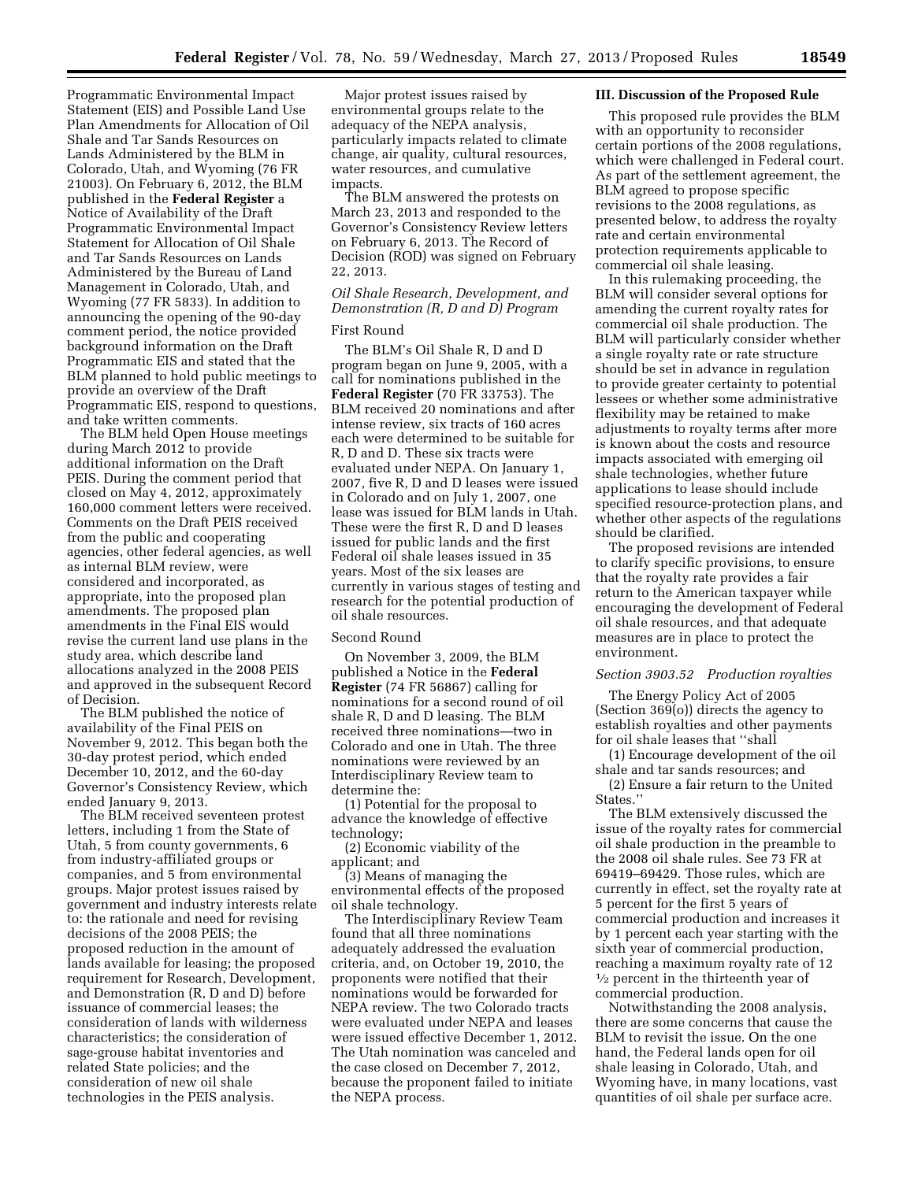Programmatic Environmental Impact Statement (EIS) and Possible Land Use Plan Amendments for Allocation of Oil Shale and Tar Sands Resources on Lands Administered by the BLM in Colorado, Utah, and Wyoming (76 FR 21003). On February 6, 2012, the BLM published in the **Federal Register** a Notice of Availability of the Draft Programmatic Environmental Impact Statement for Allocation of Oil Shale and Tar Sands Resources on Lands Administered by the Bureau of Land Management in Colorado, Utah, and Wyoming (77 FR 5833). In addition to announcing the opening of the 90-day comment period, the notice provided background information on the Draft Programmatic EIS and stated that the BLM planned to hold public meetings to provide an overview of the Draft Programmatic EIS, respond to questions, and take written comments.

The BLM held Open House meetings during March 2012 to provide additional information on the Draft PEIS. During the comment period that closed on May 4, 2012, approximately 160,000 comment letters were received. Comments on the Draft PEIS received from the public and cooperating agencies, other federal agencies, as well as internal BLM review, were considered and incorporated, as appropriate, into the proposed plan amendments. The proposed plan amendments in the Final EIS would revise the current land use plans in the study area, which describe land allocations analyzed in the 2008 PEIS and approved in the subsequent Record of Decision.

The BLM published the notice of availability of the Final PEIS on November 9, 2012. This began both the 30-day protest period, which ended December 10, 2012, and the 60-day Governor's Consistency Review, which ended January 9, 2013.

The BLM received seventeen protest letters, including 1 from the State of Utah, 5 from county governments, 6 from industry-affiliated groups or companies, and 5 from environmental groups. Major protest issues raised by government and industry interests relate to: the rationale and need for revising decisions of the 2008 PEIS; the proposed reduction in the amount of lands available for leasing; the proposed requirement for Research, Development, and Demonstration (R, D and D) before issuance of commercial leases; the consideration of lands with wilderness characteristics; the consideration of sage-grouse habitat inventories and related State policies; and the consideration of new oil shale technologies in the PEIS analysis.

Major protest issues raised by environmental groups relate to the adequacy of the NEPA analysis, particularly impacts related to climate change, air quality, cultural resources, water resources, and cumulative impacts.

The BLM answered the protests on March 23, 2013 and responded to the Governor's Consistency Review letters on February 6, 2013. The Record of Decision (ROD) was signed on February 22, 2013.

# *Oil Shale Research, Development, and Demonstration (R, D and D) Program*

# First Round

The BLM's Oil Shale R, D and D program began on June 9, 2005, with a call for nominations published in the **Federal Register** (70 FR 33753). The BLM received 20 nominations and after intense review, six tracts of 160 acres each were determined to be suitable for R, D and D. These six tracts were evaluated under NEPA. On January 1, 2007, five R, D and D leases were issued in Colorado and on July 1, 2007, one lease was issued for BLM lands in Utah. These were the first R, D and D leases issued for public lands and the first Federal oil shale leases issued in 35 years. Most of the six leases are currently in various stages of testing and research for the potential production of oil shale resources.

## Second Round

On November 3, 2009, the BLM published a Notice in the **Federal Register** (74 FR 56867) calling for nominations for a second round of oil shale R, D and D leasing. The BLM received three nominations—two in Colorado and one in Utah. The three nominations were reviewed by an Interdisciplinary Review team to determine the:

(1) Potential for the proposal to advance the knowledge of effective technology;

(2) Economic viability of the applicant; and

(3) Means of managing the environmental effects of the proposed oil shale technology.

The Interdisciplinary Review Team found that all three nominations adequately addressed the evaluation criteria, and, on October 19, 2010, the proponents were notified that their nominations would be forwarded for NEPA review. The two Colorado tracts were evaluated under NEPA and leases were issued effective December 1, 2012. The Utah nomination was canceled and the case closed on December 7, 2012, because the proponent failed to initiate the NEPA process.

#### **III. Discussion of the Proposed Rule**

This proposed rule provides the BLM with an opportunity to reconsider certain portions of the 2008 regulations, which were challenged in Federal court. As part of the settlement agreement, the BLM agreed to propose specific revisions to the 2008 regulations, as presented below, to address the royalty rate and certain environmental protection requirements applicable to commercial oil shale leasing.

In this rulemaking proceeding, the BLM will consider several options for amending the current royalty rates for commercial oil shale production. The BLM will particularly consider whether a single royalty rate or rate structure should be set in advance in regulation to provide greater certainty to potential lessees or whether some administrative flexibility may be retained to make adjustments to royalty terms after more is known about the costs and resource impacts associated with emerging oil shale technologies, whether future applications to lease should include specified resource-protection plans, and whether other aspects of the regulations should be clarified.

The proposed revisions are intended to clarify specific provisions, to ensure that the royalty rate provides a fair return to the American taxpayer while encouraging the development of Federal oil shale resources, and that adequate measures are in place to protect the environment.

## *Section 3903.52 Production royalties*

The Energy Policy Act of 2005 (Section 369(o)) directs the agency to establish royalties and other payments for oil shale leases that ''shall

(1) Encourage development of the oil shale and tar sands resources; and

(2) Ensure a fair return to the United States.''

The BLM extensively discussed the issue of the royalty rates for commercial oil shale production in the preamble to the 2008 oil shale rules. See 73 FR at 69419–69429. Those rules, which are currently in effect, set the royalty rate at 5 percent for the first 5 years of commercial production and increases it by 1 percent each year starting with the sixth year of commercial production, reaching a maximum royalty rate of 12 1⁄2 percent in the thirteenth year of commercial production.

Notwithstanding the 2008 analysis, there are some concerns that cause the BLM to revisit the issue. On the one hand, the Federal lands open for oil shale leasing in Colorado, Utah, and Wyoming have, in many locations, vast quantities of oil shale per surface acre.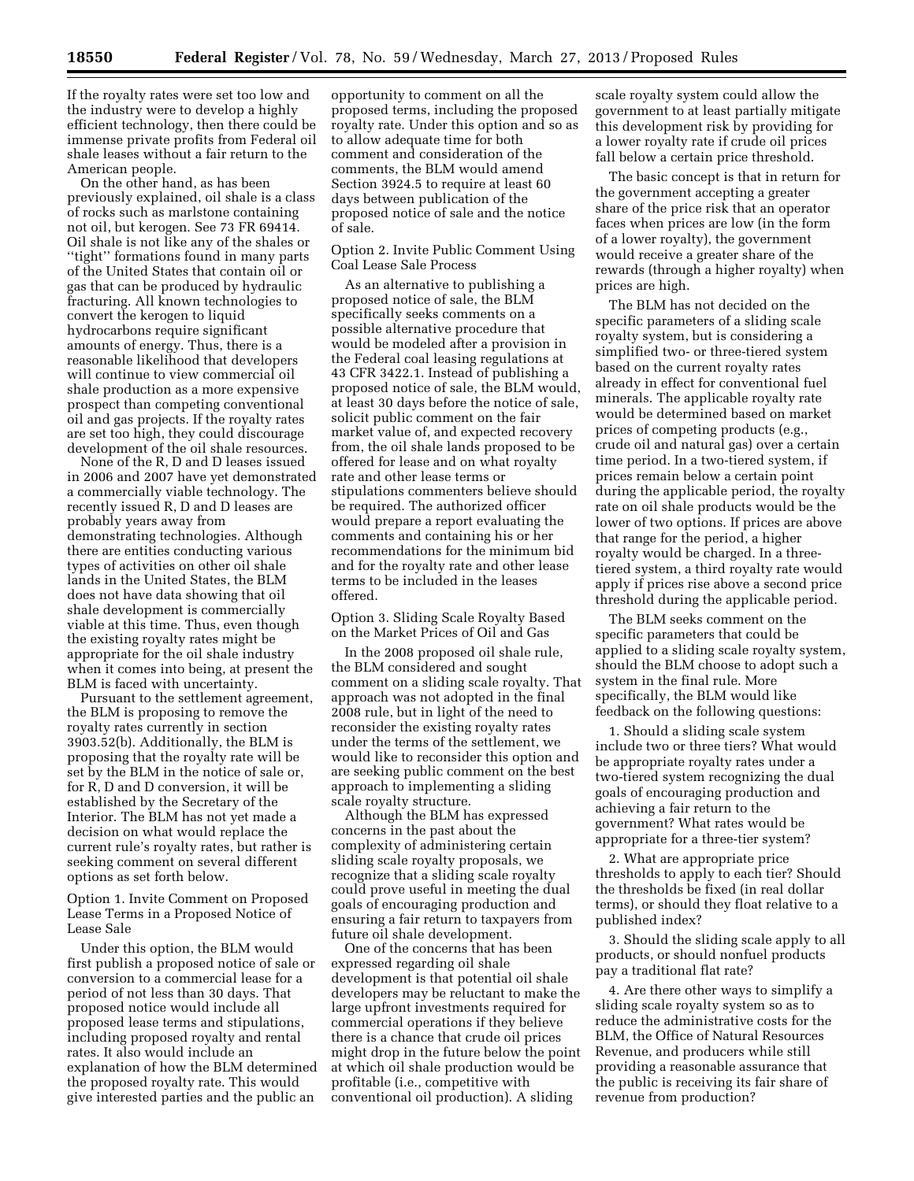If the royalty rates were set too low and the industry were to develop a highly efficient technology, then there could be immense private profits from Federal oil shale leases without a fair return to the American people.

On the other hand, as has been previously explained, oil shale is a class of rocks such as marlstone containing not oil, but kerogen. See 73 FR 69414. Oil shale is not like any of the shales or ''tight'' formations found in many parts of the United States that contain oil or gas that can be produced by hydraulic fracturing. All known technologies to convert the kerogen to liquid hydrocarbons require significant amounts of energy. Thus, there is a reasonable likelihood that developers will continue to view commercial oil shale production as a more expensive prospect than competing conventional oil and gas projects. If the royalty rates are set too high, they could discourage development of the oil shale resources.

None of the R, D and D leases issued in 2006 and 2007 have yet demonstrated a commercially viable technology. The recently issued R, D and D leases are probably years away from demonstrating technologies. Although there are entities conducting various types of activities on other oil shale lands in the United States, the BLM does not have data showing that oil shale development is commercially viable at this time. Thus, even though the existing royalty rates might be appropriate for the oil shale industry when it comes into being, at present the BLM is faced with uncertainty.

Pursuant to the settlement agreement, the BLM is proposing to remove the royalty rates currently in section 3903.52(b). Additionally, the BLM is proposing that the royalty rate will be set by the BLM in the notice of sale or, for R, D and D conversion, it will be established by the Secretary of the Interior. The BLM has not yet made a decision on what would replace the current rule's royalty rates, but rather is seeking comment on several different options as set forth below.

Option 1. Invite Comment on Proposed Lease Terms in a Proposed Notice of Lease Sale

Under this option, the BLM would first publish a proposed notice of sale or conversion to a commercial lease for a period of not less than 30 days. That proposed notice would include all proposed lease terms and stipulations, including proposed royalty and rental rates. It also would include an explanation of how the BLM determined the proposed royalty rate. This would give interested parties and the public an

opportunity to comment on all the proposed terms, including the proposed royalty rate. Under this option and so as to allow adequate time for both comment and consideration of the comments, the BLM would amend Section 3924.5 to require at least 60 days between publication of the proposed notice of sale and the notice of sale.

Option 2. Invite Public Comment Using Coal Lease Sale Process

As an alternative to publishing a proposed notice of sale, the BLM specifically seeks comments on a possible alternative procedure that would be modeled after a provision in the Federal coal leasing regulations at 43 CFR 3422.1. Instead of publishing a proposed notice of sale, the BLM would, at least 30 days before the notice of sale, solicit public comment on the fair market value of, and expected recovery from, the oil shale lands proposed to be offered for lease and on what royalty rate and other lease terms or stipulations commenters believe should be required. The authorized officer would prepare a report evaluating the comments and containing his or her recommendations for the minimum bid and for the royalty rate and other lease terms to be included in the leases offered.

Option 3. Sliding Scale Royalty Based on the Market Prices of Oil and Gas

In the 2008 proposed oil shale rule, the BLM considered and sought comment on a sliding scale royalty. That approach was not adopted in the final 2008 rule, but in light of the need to reconsider the existing royalty rates under the terms of the settlement, we would like to reconsider this option and are seeking public comment on the best approach to implementing a sliding scale royalty structure.

Although the BLM has expressed concerns in the past about the complexity of administering certain sliding scale royalty proposals, we recognize that a sliding scale royalty could prove useful in meeting the dual goals of encouraging production and ensuring a fair return to taxpayers from future oil shale development.

One of the concerns that has been expressed regarding oil shale development is that potential oil shale developers may be reluctant to make the large upfront investments required for commercial operations if they believe there is a chance that crude oil prices might drop in the future below the point at which oil shale production would be profitable (i.e., competitive with conventional oil production). A sliding

scale royalty system could allow the government to at least partially mitigate this development risk by providing for a lower royalty rate if crude oil prices fall below a certain price threshold.

The basic concept is that in return for the government accepting a greater share of the price risk that an operator faces when prices are low (in the form of a lower royalty), the government would receive a greater share of the rewards (through a higher royalty) when prices are high.

The BLM has not decided on the specific parameters of a sliding scale royalty system, but is considering a simplified two- or three-tiered system based on the current royalty rates already in effect for conventional fuel minerals. The applicable royalty rate would be determined based on market prices of competing products (e.g., crude oil and natural gas) over a certain time period. In a two-tiered system, if prices remain below a certain point during the applicable period, the royalty rate on oil shale products would be the lower of two options. If prices are above that range for the period, a higher royalty would be charged. In a threetiered system, a third royalty rate would apply if prices rise above a second price threshold during the applicable period.

The BLM seeks comment on the specific parameters that could be applied to a sliding scale royalty system, should the BLM choose to adopt such a system in the final rule. More specifically, the BLM would like feedback on the following questions:

1. Should a sliding scale system include two or three tiers? What would be appropriate royalty rates under a two-tiered system recognizing the dual goals of encouraging production and achieving a fair return to the government? What rates would be appropriate for a three-tier system?

2. What are appropriate price thresholds to apply to each tier? Should the thresholds be fixed (in real dollar terms), or should they float relative to a published index?

3. Should the sliding scale apply to all products, or should nonfuel products pay a traditional flat rate?

4. Are there other ways to simplify a sliding scale royalty system so as to reduce the administrative costs for the BLM, the Office of Natural Resources Revenue, and producers while still providing a reasonable assurance that the public is receiving its fair share of revenue from production?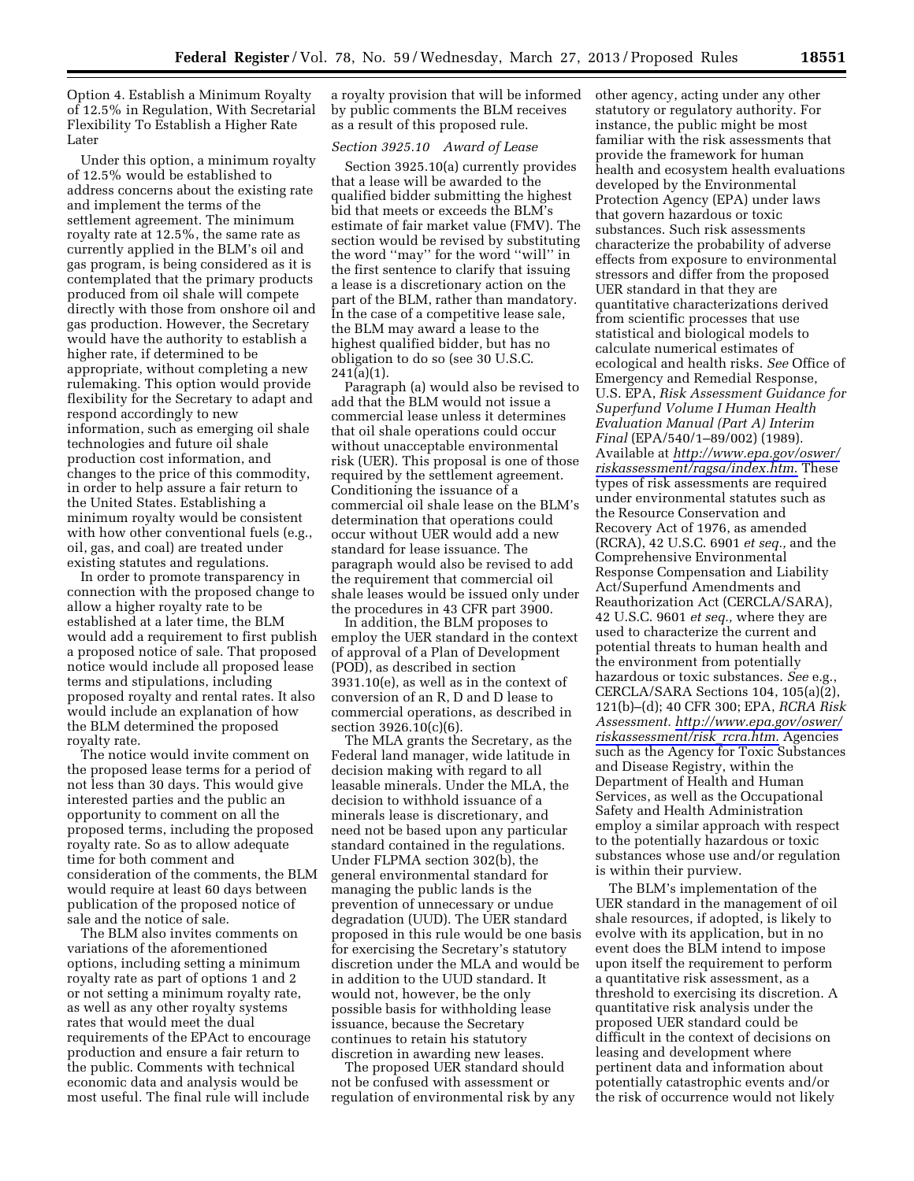Option 4. Establish a Minimum Royalty of 12.5% in Regulation, With Secretarial Flexibility To Establish a Higher Rate Later

Under this option, a minimum royalty of 12.5% would be established to address concerns about the existing rate and implement the terms of the settlement agreement. The minimum royalty rate at 12.5%, the same rate as currently applied in the BLM's oil and gas program, is being considered as it is contemplated that the primary products produced from oil shale will compete directly with those from onshore oil and gas production. However, the Secretary would have the authority to establish a higher rate, if determined to be appropriate, without completing a new rulemaking. This option would provide flexibility for the Secretary to adapt and respond accordingly to new information, such as emerging oil shale technologies and future oil shale production cost information, and changes to the price of this commodity, in order to help assure a fair return to the United States. Establishing a minimum royalty would be consistent with how other conventional fuels (e.g., oil, gas, and coal) are treated under existing statutes and regulations.

In order to promote transparency in connection with the proposed change to allow a higher royalty rate to be established at a later time, the BLM would add a requirement to first publish a proposed notice of sale. That proposed notice would include all proposed lease terms and stipulations, including proposed royalty and rental rates. It also would include an explanation of how the BLM determined the proposed royalty rate.

The notice would invite comment on the proposed lease terms for a period of not less than 30 days. This would give interested parties and the public an opportunity to comment on all the proposed terms, including the proposed royalty rate. So as to allow adequate time for both comment and consideration of the comments, the BLM would require at least 60 days between publication of the proposed notice of sale and the notice of sale.

The BLM also invites comments on variations of the aforementioned options, including setting a minimum royalty rate as part of options 1 and 2 or not setting a minimum royalty rate, as well as any other royalty systems rates that would meet the dual requirements of the EPAct to encourage production and ensure a fair return to the public. Comments with technical economic data and analysis would be most useful. The final rule will include

a royalty provision that will be informed by public comments the BLM receives as a result of this proposed rule.

## *Section 3925.10 Award of Lease*

Section 3925.10(a) currently provides that a lease will be awarded to the qualified bidder submitting the highest bid that meets or exceeds the BLM's estimate of fair market value (FMV). The section would be revised by substituting the word ''may'' for the word ''will'' in the first sentence to clarify that issuing a lease is a discretionary action on the part of the BLM, rather than mandatory. In the case of a competitive lease sale, the BLM may award a lease to the highest qualified bidder, but has no obligation to do so (see 30 U.S.C.  $241(a)(1)$ .

Paragraph (a) would also be revised to add that the BLM would not issue a commercial lease unless it determines that oil shale operations could occur without unacceptable environmental risk (UER). This proposal is one of those required by the settlement agreement. Conditioning the issuance of a commercial oil shale lease on the BLM's determination that operations could occur without UER would add a new standard for lease issuance. The paragraph would also be revised to add the requirement that commercial oil shale leases would be issued only under the procedures in 43 CFR part 3900.

In addition, the BLM proposes to employ the UER standard in the context of approval of a Plan of Development (POD), as described in section 3931.10(e), as well as in the context of conversion of an R, D and D lease to commercial operations, as described in section 3926.10(c)(6).

The MLA grants the Secretary, as the Federal land manager, wide latitude in decision making with regard to all leasable minerals. Under the MLA, the decision to withhold issuance of a minerals lease is discretionary, and need not be based upon any particular standard contained in the regulations. Under FLPMA section 302(b), the general environmental standard for managing the public lands is the prevention of unnecessary or undue degradation (UUD). The UER standard proposed in this rule would be one basis for exercising the Secretary's statutory discretion under the MLA and would be in addition to the UUD standard. It would not, however, be the only possible basis for withholding lease issuance, because the Secretary continues to retain his statutory discretion in awarding new leases.

The proposed UER standard should not be confused with assessment or regulation of environmental risk by any other agency, acting under any other statutory or regulatory authority. For instance, the public might be most familiar with the risk assessments that provide the framework for human health and ecosystem health evaluations developed by the Environmental Protection Agency (EPA) under laws that govern hazardous or toxic substances. Such risk assessments characterize the probability of adverse effects from exposure to environmental stressors and differ from the proposed UER standard in that they are quantitative characterizations derived from scientific processes that use statistical and biological models to calculate numerical estimates of ecological and health risks. *See* Office of Emergency and Remedial Response, U.S. EPA, *Risk Assessment Guidance for Superfund Volume I Human Health Evaluation Manual (Part A) Interim Final* (EPA/540/1–89/002) (1989). Available at *[http://www.epa.gov/oswer/](http://www.epa.gov/oswer/riskassessment/ragsa/index.htm)  [riskassessment/ragsa/index.htm](http://www.epa.gov/oswer/riskassessment/ragsa/index.htm)*. These types of risk assessments are required under environmental statutes such as the Resource Conservation and Recovery Act of 1976, as amended (RCRA), 42 U.S.C. 6901 *et seq.,* and the Comprehensive Environmental Response Compensation and Liability Act/Superfund Amendments and Reauthorization Act (CERCLA/SARA), 42 U.S.C. 9601 *et seq.,* where they are used to characterize the current and potential threats to human health and the environment from potentially hazardous or toxic substances. *See* e.g., CERCLA/SARA Sections 104, 105(a)(2), 121(b)–(d); 40 CFR 300; EPA, *RCRA Risk Assessment. [http://www.epa.gov/oswer/](http://www.epa.gov/oswer/riskassessment/risk_rcra.htm) [riskassessment/risk](http://www.epa.gov/oswer/riskassessment/risk_rcra.htm)*\_*rcra.htm.* Agencies such as the Agency for Toxic Substances and Disease Registry, within the Department of Health and Human Services, as well as the Occupational Safety and Health Administration employ a similar approach with respect to the potentially hazardous or toxic substances whose use and/or regulation is within their purview.

The BLM's implementation of the UER standard in the management of oil shale resources, if adopted, is likely to evolve with its application, but in no event does the BLM intend to impose upon itself the requirement to perform a quantitative risk assessment, as a threshold to exercising its discretion. A quantitative risk analysis under the proposed UER standard could be difficult in the context of decisions on leasing and development where pertinent data and information about potentially catastrophic events and/or the risk of occurrence would not likely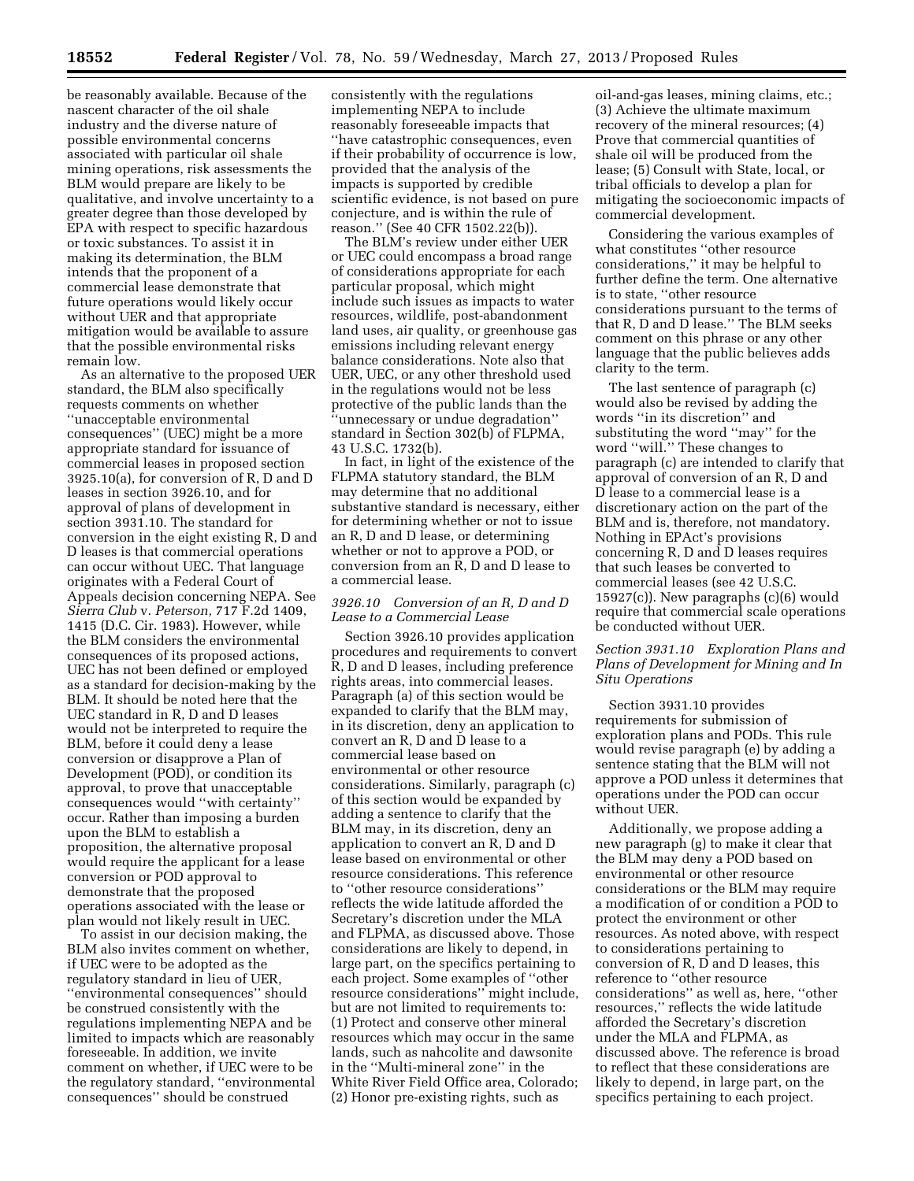be reasonably available. Because of the nascent character of the oil shale industry and the diverse nature of possible environmental concerns associated with particular oil shale mining operations, risk assessments the BLM would prepare are likely to be qualitative, and involve uncertainty to a greater degree than those developed by EPA with respect to specific hazardous or toxic substances. To assist it in making its determination, the BLM intends that the proponent of a commercial lease demonstrate that future operations would likely occur without UER and that appropriate mitigation would be available to assure that the possible environmental risks remain low.

As an alternative to the proposed UER standard, the BLM also specifically requests comments on whether ''unacceptable environmental consequences'' (UEC) might be a more appropriate standard for issuance of commercial leases in proposed section 3925.10(a), for conversion of R, D and D leases in section 3926.10, and for approval of plans of development in section 3931.10. The standard for conversion in the eight existing R, D and D leases is that commercial operations can occur without UEC. That language originates with a Federal Court of Appeals decision concerning NEPA. See *Sierra Club* v. *Peterson,* 717 F.2d 1409, 1415 (D.C. Cir. 1983). However, while the BLM considers the environmental consequences of its proposed actions, UEC has not been defined or employed as a standard for decision-making by the BLM. It should be noted here that the UEC standard in R, D and D leases would not be interpreted to require the BLM, before it could deny a lease conversion or disapprove a Plan of Development (POD), or condition its approval, to prove that unacceptable consequences would ''with certainty'' occur. Rather than imposing a burden upon the BLM to establish a proposition, the alternative proposal would require the applicant for a lease conversion or POD approval to demonstrate that the proposed operations associated with the lease or plan would not likely result in UEC.

To assist in our decision making, the BLM also invites comment on whether, if UEC were to be adopted as the regulatory standard in lieu of UER, ''environmental consequences'' should be construed consistently with the regulations implementing NEPA and be limited to impacts which are reasonably foreseeable. In addition, we invite comment on whether, if UEC were to be the regulatory standard, ''environmental consequences'' should be construed

consistently with the regulations implementing NEPA to include reasonably foreseeable impacts that ''have catastrophic consequences, even if their probability of occurrence is low, provided that the analysis of the impacts is supported by credible scientific evidence, is not based on pure conjecture, and is within the rule of reason.'' (See 40 CFR 1502.22(b)).

The BLM's review under either UER or UEC could encompass a broad range of considerations appropriate for each particular proposal, which might include such issues as impacts to water resources, wildlife, post-abandonment land uses, air quality, or greenhouse gas emissions including relevant energy balance considerations. Note also that UER, UEC, or any other threshold used in the regulations would not be less protective of the public lands than the ''unnecessary or undue degradation'' standard in Section 302(b) of FLPMA, 43 U.S.C. 1732(b).

In fact, in light of the existence of the FLPMA statutory standard, the BLM may determine that no additional substantive standard is necessary, either for determining whether or not to issue an R, D and D lease, or determining whether or not to approve a POD, or conversion from an R, D and D lease to a commercial lease.

## *3926.10 Conversion of an R, D and D Lease to a Commercial Lease*

Section 3926.10 provides application procedures and requirements to convert R, D and D leases, including preference rights areas, into commercial leases. Paragraph (a) of this section would be expanded to clarify that the BLM may, in its discretion, deny an application to convert an R, D and D lease to a commercial lease based on environmental or other resource considerations. Similarly, paragraph (c) of this section would be expanded by adding a sentence to clarify that the BLM may, in its discretion, deny an application to convert an R, D and D lease based on environmental or other resource considerations. This reference to ''other resource considerations'' reflects the wide latitude afforded the Secretary's discretion under the MLA and FLPMA, as discussed above. Those considerations are likely to depend, in large part, on the specifics pertaining to each project. Some examples of ''other resource considerations'' might include, but are not limited to requirements to: (1) Protect and conserve other mineral resources which may occur in the same lands, such as nahcolite and dawsonite in the ''Multi-mineral zone'' in the White River Field Office area, Colorado; (2) Honor pre-existing rights, such as

oil-and-gas leases, mining claims, etc.; (3) Achieve the ultimate maximum recovery of the mineral resources; (4) Prove that commercial quantities of shale oil will be produced from the lease; (5) Consult with State, local, or tribal officials to develop a plan for mitigating the socioeconomic impacts of commercial development.

Considering the various examples of what constitutes ''other resource considerations,'' it may be helpful to further define the term. One alternative is to state, ''other resource considerations pursuant to the terms of that R, D and D lease.'' The BLM seeks comment on this phrase or any other language that the public believes adds clarity to the term.

The last sentence of paragraph (c) would also be revised by adding the words ''in its discretion'' and substituting the word ''may'' for the word ''will.'' These changes to paragraph (c) are intended to clarify that approval of conversion of an R, D and D lease to a commercial lease is a discretionary action on the part of the BLM and is, therefore, not mandatory. Nothing in EPAct's provisions concerning R, D and D leases requires that such leases be converted to commercial leases (see 42 U.S.C.  $15927(c)$ ). New paragraphs  $(c)(6)$  would require that commercial scale operations be conducted without UER.

# *Section 3931.10 Exploration Plans and Plans of Development for Mining and In Situ Operations*

Section 3931.10 provides requirements for submission of exploration plans and PODs. This rule would revise paragraph (e) by adding a sentence stating that the BLM will not approve a POD unless it determines that operations under the POD can occur without UER.

Additionally, we propose adding a new paragraph (g) to make it clear that the BLM may deny a POD based on environmental or other resource considerations or the BLM may require a modification of or condition a POD to protect the environment or other resources. As noted above, with respect to considerations pertaining to conversion of R, D and D leases, this reference to ''other resource considerations'' as well as, here, ''other resources,'' reflects the wide latitude afforded the Secretary's discretion under the MLA and FLPMA, as discussed above. The reference is broad to reflect that these considerations are likely to depend, in large part, on the specifics pertaining to each project.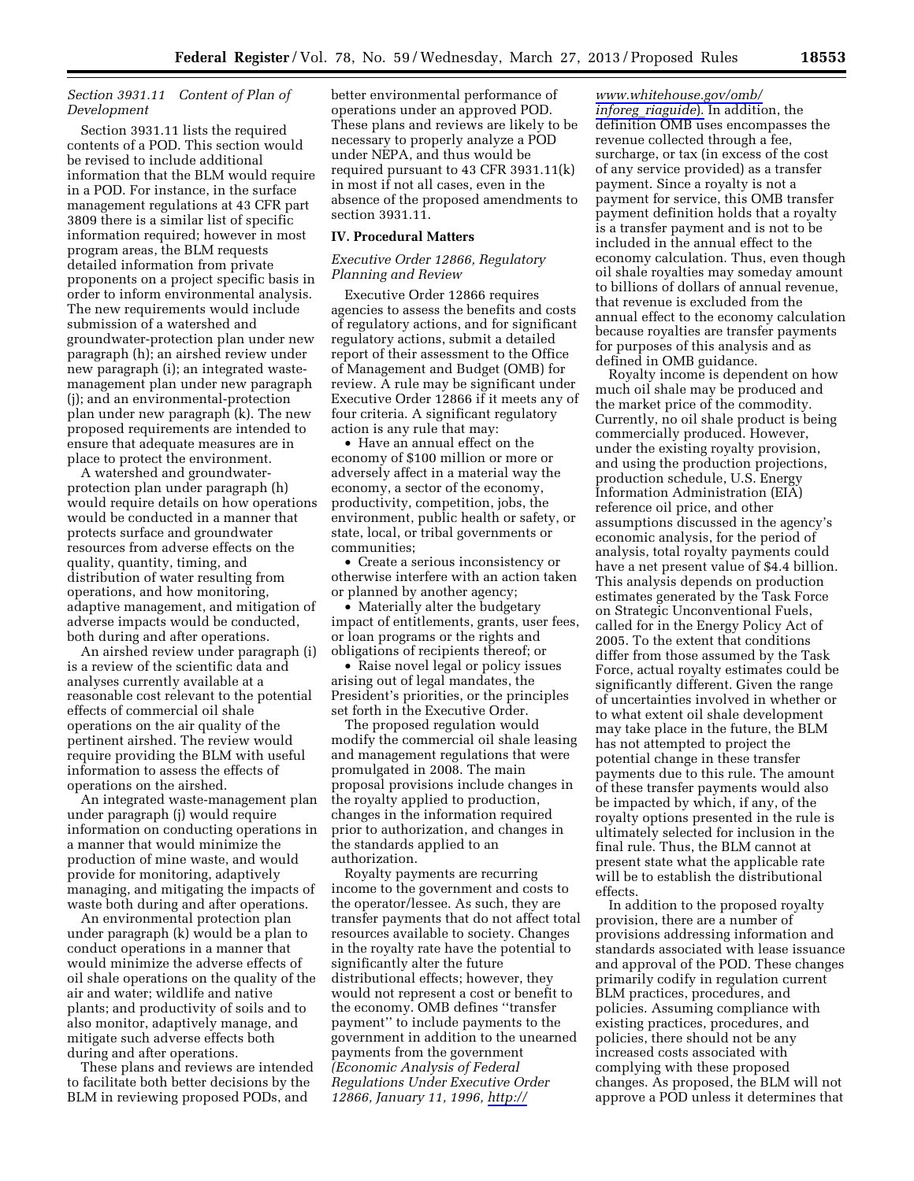## *Section 3931.11 Content of Plan of Development*

Section 3931.11 lists the required contents of a POD. This section would be revised to include additional information that the BLM would require in a POD. For instance, in the surface management regulations at 43 CFR part 3809 there is a similar list of specific information required; however in most program areas, the BLM requests detailed information from private proponents on a project specific basis in order to inform environmental analysis. The new requirements would include submission of a watershed and groundwater-protection plan under new paragraph (h); an airshed review under new paragraph (i); an integrated wastemanagement plan under new paragraph (j); and an environmental-protection plan under new paragraph (k). The new proposed requirements are intended to ensure that adequate measures are in place to protect the environment.

A watershed and groundwaterprotection plan under paragraph (h) would require details on how operations would be conducted in a manner that protects surface and groundwater resources from adverse effects on the quality, quantity, timing, and distribution of water resulting from operations, and how monitoring, adaptive management, and mitigation of adverse impacts would be conducted, both during and after operations.

An airshed review under paragraph (i) is a review of the scientific data and analyses currently available at a reasonable cost relevant to the potential effects of commercial oil shale operations on the air quality of the pertinent airshed. The review would require providing the BLM with useful information to assess the effects of operations on the airshed.

An integrated waste-management plan under paragraph (j) would require information on conducting operations in a manner that would minimize the production of mine waste, and would provide for monitoring, adaptively managing, and mitigating the impacts of waste both during and after operations.

An environmental protection plan under paragraph (k) would be a plan to conduct operations in a manner that would minimize the adverse effects of oil shale operations on the quality of the air and water; wildlife and native plants; and productivity of soils and to also monitor, adaptively manage, and mitigate such adverse effects both during and after operations.

These plans and reviews are intended to facilitate both better decisions by the BLM in reviewing proposed PODs, and

better environmental performance of operations under an approved POD. These plans and reviews are likely to be necessary to properly analyze a POD under NEPA, and thus would be required pursuant to 43 CFR 3931.11(k) in most if not all cases, even in the absence of the proposed amendments to section 3931.11.

#### **IV. Procedural Matters**

## *Executive Order 12866, Regulatory Planning and Review*

Executive Order 12866 requires agencies to assess the benefits and costs of regulatory actions, and for significant regulatory actions, submit a detailed report of their assessment to the Office of Management and Budget (OMB) for review. A rule may be significant under Executive Order 12866 if it meets any of four criteria. A significant regulatory action is any rule that may:

• Have an annual effect on the economy of \$100 million or more or adversely affect in a material way the economy, a sector of the economy, productivity, competition, jobs, the environment, public health or safety, or state, local, or tribal governments or communities;

• Create a serious inconsistency or otherwise interfere with an action taken or planned by another agency;

• Materially alter the budgetary impact of entitlements, grants, user fees, or loan programs or the rights and obligations of recipients thereof; or

• Raise novel legal or policy issues arising out of legal mandates, the President's priorities, or the principles set forth in the Executive Order.

The proposed regulation would modify the commercial oil shale leasing and management regulations that were promulgated in 2008. The main proposal provisions include changes in the royalty applied to production, changes in the information required prior to authorization, and changes in the standards applied to an authorization.

Royalty payments are recurring income to the government and costs to the operator/lessee. As such, they are transfer payments that do not affect total resources available to society. Changes in the royalty rate have the potential to significantly alter the future distributional effects; however, they would not represent a cost or benefit to the economy. OMB defines ''transfer payment'' to include payments to the government in addition to the unearned payments from the government *(Economic Analysis of Federal Regulations Under Executive Order 12866, January 11, 1996, [http://](http://www.whitehouse.gov/omb/inforeg_riaguide)* 

*[www.whitehouse.gov/omb/](http://www.whitehouse.gov/omb/inforeg_riaguide)  inforeg*\_*[riaguide](http://www.whitehouse.gov/omb/inforeg_riaguide)*). In addition, the definition OMB uses encompasses the revenue collected through a fee, surcharge, or tax (in excess of the cost of any service provided) as a transfer payment. Since a royalty is not a payment for service, this OMB transfer payment definition holds that a royalty is a transfer payment and is not to be included in the annual effect to the economy calculation. Thus, even though oil shale royalties may someday amount to billions of dollars of annual revenue, that revenue is excluded from the annual effect to the economy calculation because royalties are transfer payments for purposes of this analysis and as defined in OMB guidance.

Royalty income is dependent on how much oil shale may be produced and the market price of the commodity. Currently, no oil shale product is being commercially produced. However, under the existing royalty provision, and using the production projections, production schedule, U.S. Energy Information Administration (EIA) reference oil price, and other assumptions discussed in the agency's economic analysis, for the period of analysis, total royalty payments could have a net present value of \$4.4 billion. This analysis depends on production estimates generated by the Task Force on Strategic Unconventional Fuels, called for in the Energy Policy Act of 2005. To the extent that conditions differ from those assumed by the Task Force, actual royalty estimates could be significantly different. Given the range of uncertainties involved in whether or to what extent oil shale development may take place in the future, the BLM has not attempted to project the potential change in these transfer payments due to this rule. The amount of these transfer payments would also be impacted by which, if any, of the royalty options presented in the rule is ultimately selected for inclusion in the final rule. Thus, the BLM cannot at present state what the applicable rate will be to establish the distributional effects.

In addition to the proposed royalty provision, there are a number of provisions addressing information and standards associated with lease issuance and approval of the POD. These changes primarily codify in regulation current BLM practices, procedures, and policies. Assuming compliance with existing practices, procedures, and policies, there should not be any increased costs associated with complying with these proposed changes. As proposed, the BLM will not approve a POD unless it determines that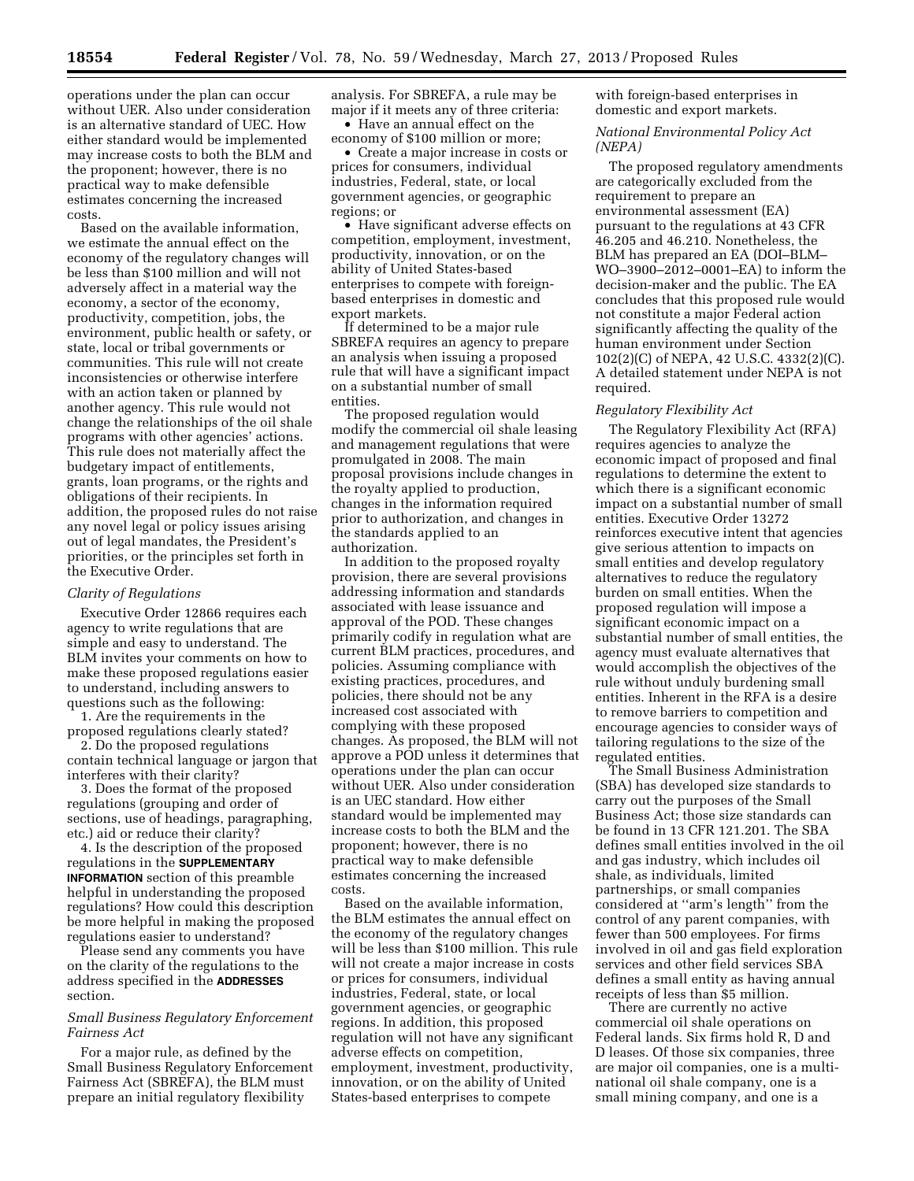operations under the plan can occur without UER. Also under consideration is an alternative standard of UEC. How either standard would be implemented may increase costs to both the BLM and the proponent; however, there is no practical way to make defensible estimates concerning the increased costs.

Based on the available information, we estimate the annual effect on the economy of the regulatory changes will be less than \$100 million and will not adversely affect in a material way the economy, a sector of the economy, productivity, competition, jobs, the environment, public health or safety, or state, local or tribal governments or communities. This rule will not create inconsistencies or otherwise interfere with an action taken or planned by another agency. This rule would not change the relationships of the oil shale programs with other agencies' actions. This rule does not materially affect the budgetary impact of entitlements, grants, loan programs, or the rights and obligations of their recipients. In addition, the proposed rules do not raise any novel legal or policy issues arising out of legal mandates, the President's priorities, or the principles set forth in the Executive Order.

#### *Clarity of Regulations*

Executive Order 12866 requires each agency to write regulations that are simple and easy to understand. The BLM invites your comments on how to make these proposed regulations easier to understand, including answers to questions such as the following:

1. Are the requirements in the proposed regulations clearly stated?

2. Do the proposed regulations contain technical language or jargon that interferes with their clarity?

3. Does the format of the proposed regulations (grouping and order of sections, use of headings, paragraphing, etc.) aid or reduce their clarity?

4. Is the description of the proposed regulations in the **SUPPLEMENTARY INFORMATION** section of this preamble helpful in understanding the proposed regulations? How could this description be more helpful in making the proposed regulations easier to understand?

Please send any comments you have on the clarity of the regulations to the address specified in the **ADDRESSES** section.

## *Small Business Regulatory Enforcement Fairness Act*

For a major rule, as defined by the Small Business Regulatory Enforcement Fairness Act (SBREFA), the BLM must prepare an initial regulatory flexibility

analysis. For SBREFA, a rule may be major if it meets any of three criteria: • Have an annual effect on the

economy of \$100 million or more; • Create a major increase in costs or

prices for consumers, individual industries, Federal, state, or local government agencies, or geographic regions; or

• Have significant adverse effects on competition, employment, investment, productivity, innovation, or on the ability of United States-based enterprises to compete with foreignbased enterprises in domestic and export markets.

If determined to be a major rule SBREFA requires an agency to prepare an analysis when issuing a proposed rule that will have a significant impact on a substantial number of small entities.

The proposed regulation would modify the commercial oil shale leasing and management regulations that were promulgated in 2008. The main proposal provisions include changes in the royalty applied to production, changes in the information required prior to authorization, and changes in the standards applied to an authorization.

In addition to the proposed royalty provision, there are several provisions addressing information and standards associated with lease issuance and approval of the POD. These changes primarily codify in regulation what are current BLM practices, procedures, and policies. Assuming compliance with existing practices, procedures, and policies, there should not be any increased cost associated with complying with these proposed changes. As proposed, the BLM will not approve a POD unless it determines that operations under the plan can occur without UER. Also under consideration is an UEC standard. How either standard would be implemented may increase costs to both the BLM and the proponent; however, there is no practical way to make defensible estimates concerning the increased costs.

Based on the available information, the BLM estimates the annual effect on the economy of the regulatory changes will be less than \$100 million. This rule will not create a major increase in costs or prices for consumers, individual industries, Federal, state, or local government agencies, or geographic regions. In addition, this proposed regulation will not have any significant adverse effects on competition, employment, investment, productivity, innovation, or on the ability of United States-based enterprises to compete

with foreign-based enterprises in domestic and export markets.

## *National Environmental Policy Act (NEPA)*

The proposed regulatory amendments are categorically excluded from the requirement to prepare an environmental assessment (EA) pursuant to the regulations at 43 CFR 46.205 and 46.210. Nonetheless, the BLM has prepared an EA (DOI–BLM– WO–3900–2012–0001–EA) to inform the decision-maker and the public. The EA concludes that this proposed rule would not constitute a major Federal action significantly affecting the quality of the human environment under Section 102(2)(C) of NEPA, 42 U.S.C. 4332(2)(C). A detailed statement under NEPA is not required.

# *Regulatory Flexibility Act*

The Regulatory Flexibility Act (RFA) requires agencies to analyze the economic impact of proposed and final regulations to determine the extent to which there is a significant economic impact on a substantial number of small entities. Executive Order 13272 reinforces executive intent that agencies give serious attention to impacts on small entities and develop regulatory alternatives to reduce the regulatory burden on small entities. When the proposed regulation will impose a significant economic impact on a substantial number of small entities, the agency must evaluate alternatives that would accomplish the objectives of the rule without unduly burdening small entities. Inherent in the RFA is a desire to remove barriers to competition and encourage agencies to consider ways of tailoring regulations to the size of the regulated entities.

The Small Business Administration (SBA) has developed size standards to carry out the purposes of the Small Business Act; those size standards can be found in 13 CFR 121.201. The SBA defines small entities involved in the oil and gas industry, which includes oil shale, as individuals, limited partnerships, or small companies considered at ''arm's length'' from the control of any parent companies, with fewer than 500 employees. For firms involved in oil and gas field exploration services and other field services SBA defines a small entity as having annual receipts of less than \$5 million.

There are currently no active commercial oil shale operations on Federal lands. Six firms hold R, D and D leases. Of those six companies, three are major oil companies, one is a multinational oil shale company, one is a small mining company, and one is a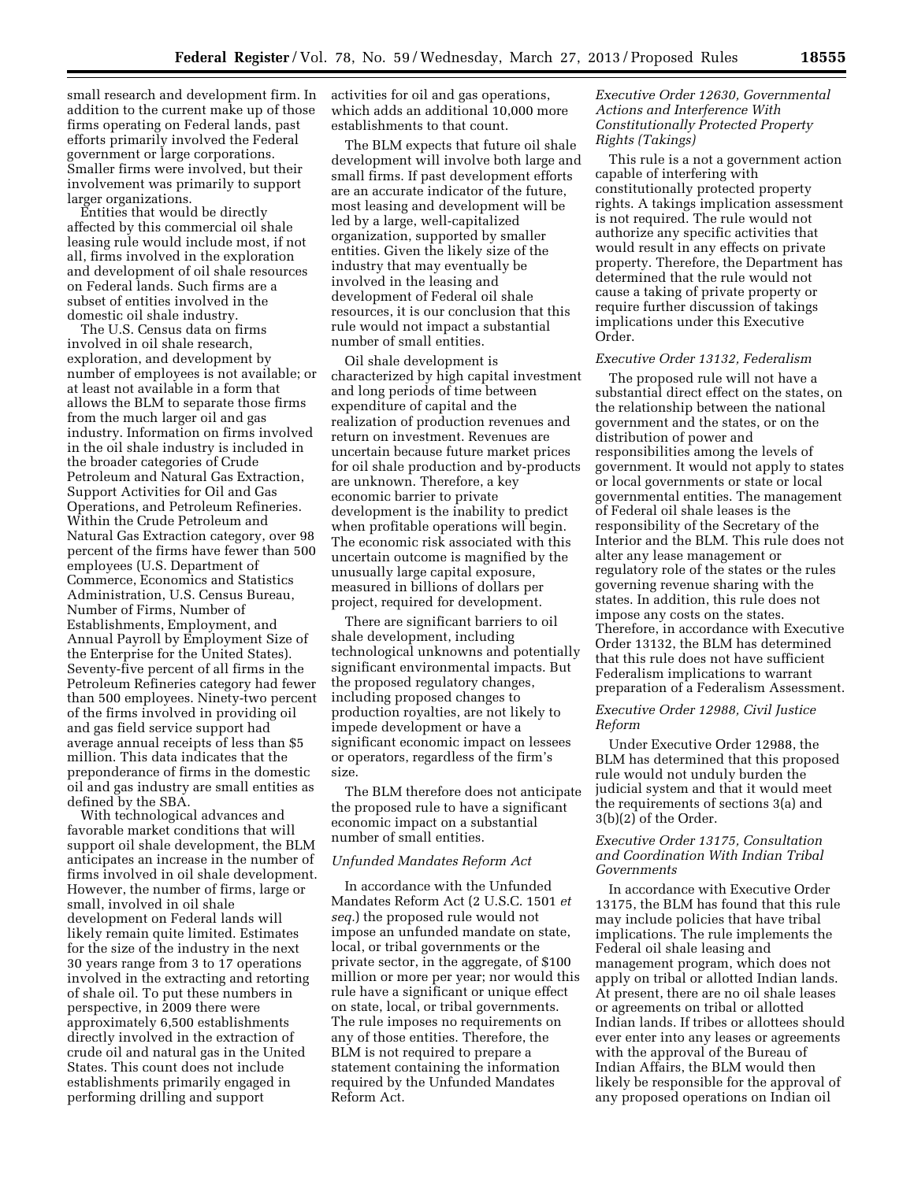small research and development firm. In addition to the current make up of those firms operating on Federal lands, past efforts primarily involved the Federal government or large corporations. Smaller firms were involved, but their involvement was primarily to support larger organizations.

Entities that would be directly affected by this commercial oil shale leasing rule would include most, if not all, firms involved in the exploration and development of oil shale resources on Federal lands. Such firms are a subset of entities involved in the domestic oil shale industry.

The U.S. Census data on firms involved in oil shale research, exploration, and development by number of employees is not available; or at least not available in a form that allows the BLM to separate those firms from the much larger oil and gas industry. Information on firms involved in the oil shale industry is included in the broader categories of Crude Petroleum and Natural Gas Extraction, Support Activities for Oil and Gas Operations, and Petroleum Refineries. Within the Crude Petroleum and Natural Gas Extraction category, over 98 percent of the firms have fewer than 500 employees (U.S. Department of Commerce, Economics and Statistics Administration, U.S. Census Bureau, Number of Firms, Number of Establishments, Employment, and Annual Payroll by Employment Size of the Enterprise for the United States). Seventy-five percent of all firms in the Petroleum Refineries category had fewer than 500 employees. Ninety-two percent of the firms involved in providing oil and gas field service support had average annual receipts of less than \$5 million. This data indicates that the preponderance of firms in the domestic oil and gas industry are small entities as defined by the SBA.

With technological advances and favorable market conditions that will support oil shale development, the BLM anticipates an increase in the number of firms involved in oil shale development. However, the number of firms, large or small, involved in oil shale development on Federal lands will likely remain quite limited. Estimates for the size of the industry in the next 30 years range from 3 to 17 operations involved in the extracting and retorting of shale oil. To put these numbers in perspective, in 2009 there were approximately 6,500 establishments directly involved in the extraction of crude oil and natural gas in the United States. This count does not include establishments primarily engaged in performing drilling and support

activities for oil and gas operations, which adds an additional 10,000 more establishments to that count.

The BLM expects that future oil shale development will involve both large and small firms. If past development efforts are an accurate indicator of the future, most leasing and development will be led by a large, well-capitalized organization, supported by smaller entities. Given the likely size of the industry that may eventually be involved in the leasing and development of Federal oil shale resources, it is our conclusion that this rule would not impact a substantial number of small entities.

Oil shale development is characterized by high capital investment and long periods of time between expenditure of capital and the realization of production revenues and return on investment. Revenues are uncertain because future market prices for oil shale production and by-products are unknown. Therefore, a key economic barrier to private development is the inability to predict when profitable operations will begin. The economic risk associated with this uncertain outcome is magnified by the unusually large capital exposure, measured in billions of dollars per project, required for development.

There are significant barriers to oil shale development, including technological unknowns and potentially significant environmental impacts. But the proposed regulatory changes, including proposed changes to production royalties, are not likely to impede development or have a significant economic impact on lessees or operators, regardless of the firm's size.

The BLM therefore does not anticipate the proposed rule to have a significant economic impact on a substantial number of small entities.

## *Unfunded Mandates Reform Act*

In accordance with the Unfunded Mandates Reform Act (2 U.S.C. 1501 *et seq.*) the proposed rule would not impose an unfunded mandate on state, local, or tribal governments or the private sector, in the aggregate, of \$100 million or more per year; nor would this rule have a significant or unique effect on state, local, or tribal governments. The rule imposes no requirements on any of those entities. Therefore, the BLM is not required to prepare a statement containing the information required by the Unfunded Mandates Reform Act.

## *Executive Order 12630, Governmental Actions and Interference With Constitutionally Protected Property Rights (Takings)*

This rule is a not a government action capable of interfering with constitutionally protected property rights. A takings implication assessment is not required. The rule would not authorize any specific activities that would result in any effects on private property. Therefore, the Department has determined that the rule would not cause a taking of private property or require further discussion of takings implications under this Executive Order.

# *Executive Order 13132, Federalism*

The proposed rule will not have a substantial direct effect on the states, on the relationship between the national government and the states, or on the distribution of power and responsibilities among the levels of government. It would not apply to states or local governments or state or local governmental entities. The management of Federal oil shale leases is the responsibility of the Secretary of the Interior and the BLM. This rule does not alter any lease management or regulatory role of the states or the rules governing revenue sharing with the states. In addition, this rule does not impose any costs on the states. Therefore, in accordance with Executive Order 13132, the BLM has determined that this rule does not have sufficient Federalism implications to warrant preparation of a Federalism Assessment.

## *Executive Order 12988, Civil Justice Reform*

Under Executive Order 12988, the BLM has determined that this proposed rule would not unduly burden the judicial system and that it would meet the requirements of sections 3(a) and 3(b)(2) of the Order.

## *Executive Order 13175, Consultation and Coordination With Indian Tribal Governments*

In accordance with Executive Order 13175, the BLM has found that this rule may include policies that have tribal implications. The rule implements the Federal oil shale leasing and management program, which does not apply on tribal or allotted Indian lands. At present, there are no oil shale leases or agreements on tribal or allotted Indian lands. If tribes or allottees should ever enter into any leases or agreements with the approval of the Bureau of Indian Affairs, the BLM would then likely be responsible for the approval of any proposed operations on Indian oil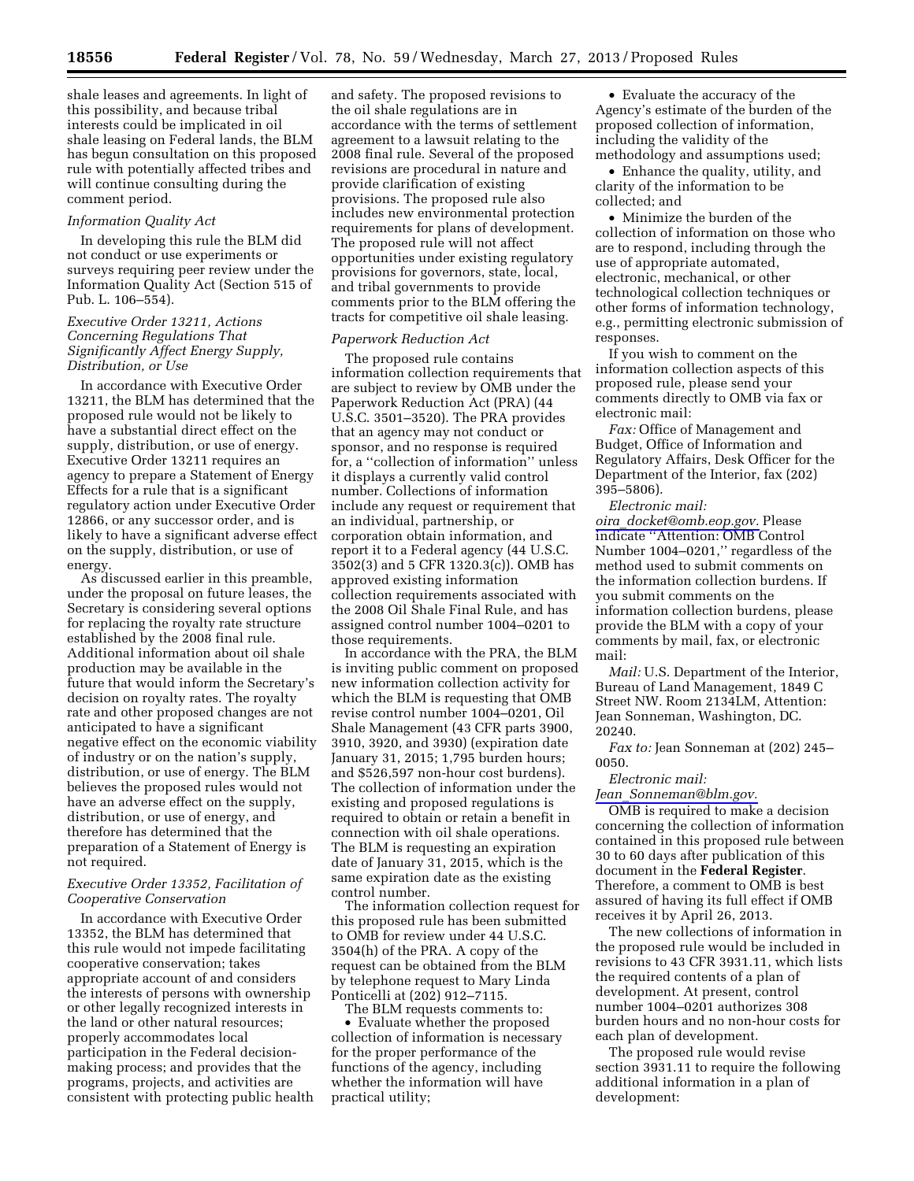shale leases and agreements. In light of this possibility, and because tribal interests could be implicated in oil shale leasing on Federal lands, the BLM has begun consultation on this proposed rule with potentially affected tribes and will continue consulting during the comment period.

## *Information Quality Act*

In developing this rule the BLM did not conduct or use experiments or surveys requiring peer review under the Information Quality Act (Section 515 of Pub. L. 106–554).

## *Executive Order 13211, Actions Concerning Regulations That Significantly Affect Energy Supply, Distribution, or Use*

In accordance with Executive Order 13211, the BLM has determined that the proposed rule would not be likely to have a substantial direct effect on the supply, distribution, or use of energy. Executive Order 13211 requires an agency to prepare a Statement of Energy Effects for a rule that is a significant regulatory action under Executive Order 12866, or any successor order, and is likely to have a significant adverse effect on the supply, distribution, or use of energy.

As discussed earlier in this preamble, under the proposal on future leases, the Secretary is considering several options for replacing the royalty rate structure established by the 2008 final rule. Additional information about oil shale production may be available in the future that would inform the Secretary's decision on royalty rates. The royalty rate and other proposed changes are not anticipated to have a significant negative effect on the economic viability of industry or on the nation's supply, distribution, or use of energy. The BLM believes the proposed rules would not have an adverse effect on the supply, distribution, or use of energy, and therefore has determined that the preparation of a Statement of Energy is not required.

# *Executive Order 13352, Facilitation of Cooperative Conservation*

In accordance with Executive Order 13352, the BLM has determined that this rule would not impede facilitating cooperative conservation; takes appropriate account of and considers the interests of persons with ownership or other legally recognized interests in the land or other natural resources; properly accommodates local participation in the Federal decisionmaking process; and provides that the programs, projects, and activities are consistent with protecting public health

and safety. The proposed revisions to the oil shale regulations are in accordance with the terms of settlement agreement to a lawsuit relating to the 2008 final rule. Several of the proposed revisions are procedural in nature and provide clarification of existing provisions. The proposed rule also includes new environmental protection requirements for plans of development. The proposed rule will not affect opportunities under existing regulatory provisions for governors, state, local, and tribal governments to provide comments prior to the BLM offering the tracts for competitive oil shale leasing.

#### *Paperwork Reduction Act*

The proposed rule contains information collection requirements that are subject to review by OMB under the Paperwork Reduction Act (PRA) (44 U.S.C. 3501–3520). The PRA provides that an agency may not conduct or sponsor, and no response is required for, a ''collection of information'' unless it displays a currently valid control number. Collections of information include any request or requirement that an individual, partnership, or corporation obtain information, and report it to a Federal agency (44 U.S.C. 3502(3) and 5 CFR 1320.3(c)). OMB has approved existing information collection requirements associated with the 2008 Oil Shale Final Rule, and has assigned control number 1004–0201 to those requirements.

In accordance with the PRA, the BLM is inviting public comment on proposed new information collection activity for which the BLM is requesting that OMB revise control number 1004–0201, Oil Shale Management (43 CFR parts 3900, 3910, 3920, and 3930) (expiration date January 31, 2015; 1,795 burden hours; and \$526,597 non-hour cost burdens). The collection of information under the existing and proposed regulations is required to obtain or retain a benefit in connection with oil shale operations. The BLM is requesting an expiration date of January 31, 2015, which is the same expiration date as the existing control number.

The information collection request for this proposed rule has been submitted to OMB for review under 44 U.S.C. 3504(h) of the PRA. A copy of the request can be obtained from the BLM by telephone request to Mary Linda Ponticelli at (202) 912–7115.

The BLM requests comments to:

• Evaluate whether the proposed collection of information is necessary for the proper performance of the functions of the agency, including whether the information will have practical utility;

• Evaluate the accuracy of the Agency's estimate of the burden of the proposed collection of information, including the validity of the methodology and assumptions used;

• Enhance the quality, utility, and clarity of the information to be collected; and

• Minimize the burden of the collection of information on those who are to respond, including through the use of appropriate automated, electronic, mechanical, or other technological collection techniques or other forms of information technology, e.g., permitting electronic submission of responses.

If you wish to comment on the information collection aspects of this proposed rule, please send your comments directly to OMB via fax or electronic mail:

*Fax:* Office of Management and Budget, Office of Information and Regulatory Affairs, Desk Officer for the Department of the Interior, fax (202) 395–5806).

*Electronic mail: oira*\_*[docket@omb.eop.gov.](mailto:oira_docket@omb.eop.gov)* Please indicate ''Attention: OMB Control Number 1004–0201,'' regardless of the method used to submit comments on the information collection burdens. If you submit comments on the information collection burdens, please provide the BLM with a copy of your comments by mail, fax, or electronic mail:

*Mail:* U.S. Department of the Interior, Bureau of Land Management, 1849 C Street NW. Room 2134LM, Attention: Jean Sonneman, Washington, DC. 20240.

*Fax to:* Jean Sonneman at (202) 245– 0050.

#### *Electronic mail:*

*Jean*\_*[Sonneman@blm.gov.](mailto:Jean_Sonneman@blm.gov)* 

OMB is required to make a decision concerning the collection of information contained in this proposed rule between 30 to 60 days after publication of this document in the **Federal Register**. Therefore, a comment to OMB is best assured of having its full effect if OMB receives it by April 26, 2013.

The new collections of information in the proposed rule would be included in revisions to 43 CFR 3931.11, which lists the required contents of a plan of development. At present, control number 1004–0201 authorizes 308 burden hours and no non-hour costs for each plan of development.

The proposed rule would revise section 3931.11 to require the following additional information in a plan of development: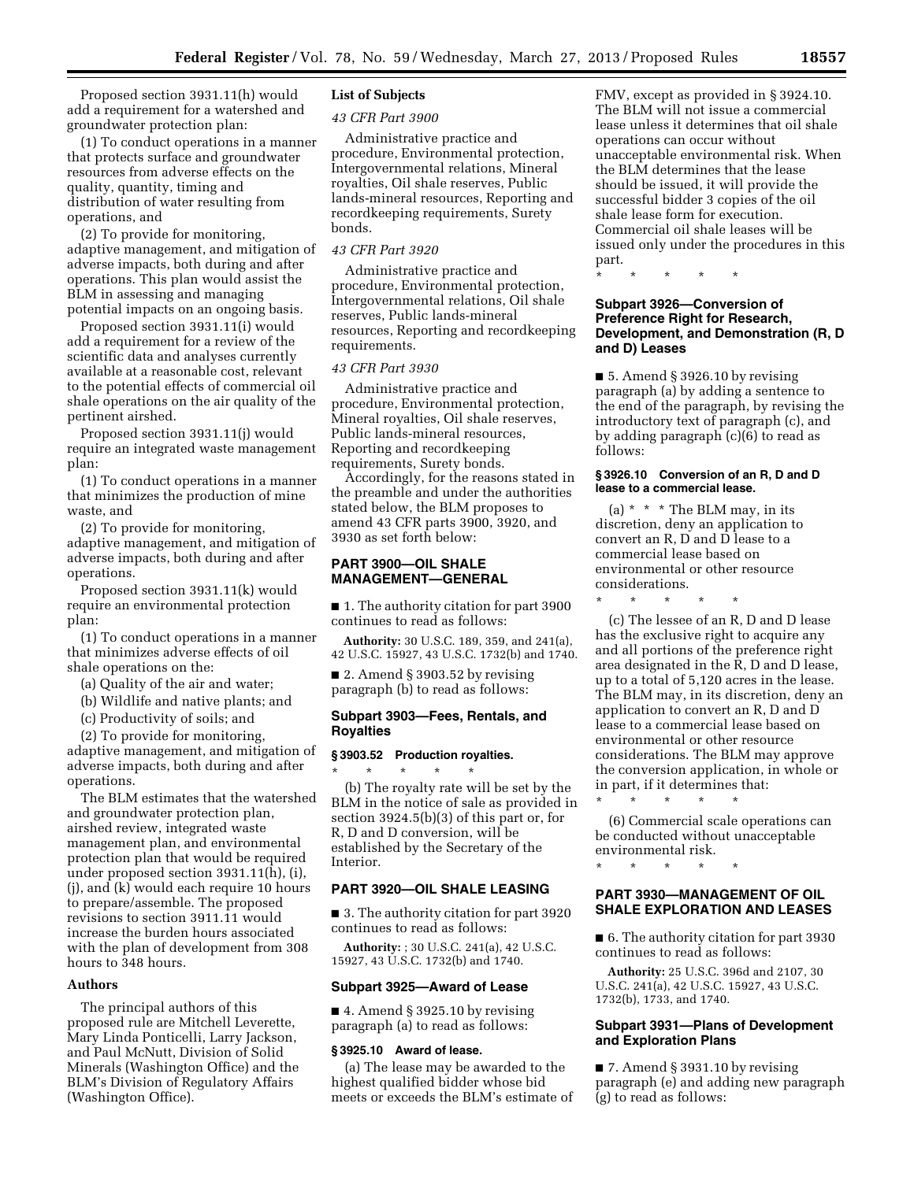Proposed section 3931.11(h) would add a requirement for a watershed and groundwater protection plan:

(1) To conduct operations in a manner that protects surface and groundwater resources from adverse effects on the quality, quantity, timing and distribution of water resulting from operations, and

(2) To provide for monitoring, adaptive management, and mitigation of adverse impacts, both during and after operations. This plan would assist the BLM in assessing and managing potential impacts on an ongoing basis.

Proposed section 3931.11(i) would add a requirement for a review of the scientific data and analyses currently available at a reasonable cost, relevant to the potential effects of commercial oil shale operations on the air quality of the pertinent airshed.

Proposed section 3931.11(j) would require an integrated waste management plan:

(1) To conduct operations in a manner that minimizes the production of mine waste, and

(2) To provide for monitoring, adaptive management, and mitigation of adverse impacts, both during and after operations.

Proposed section 3931.11(k) would require an environmental protection plan:

(1) To conduct operations in a manner that minimizes adverse effects of oil shale operations on the:

(a) Quality of the air and water;

(b) Wildlife and native plants; and

(c) Productivity of soils; and

(2) To provide for monitoring,

adaptive management, and mitigation of adverse impacts, both during and after operations.

The BLM estimates that the watershed and groundwater protection plan, airshed review, integrated waste management plan, and environmental protection plan that would be required under proposed section 3931.11(h), (i), (j), and (k) would each require 10 hours to prepare/assemble. The proposed revisions to section 3911.11 would increase the burden hours associated with the plan of development from 308 hours to 348 hours.

# **Authors**

The principal authors of this proposed rule are Mitchell Leverette, Mary Linda Ponticelli, Larry Jackson, and Paul McNutt, Division of Solid Minerals (Washington Office) and the BLM's Division of Regulatory Affairs (Washington Office).

## **List of Subjects**

## *43 CFR Part 3900*

Administrative practice and procedure, Environmental protection, Intergovernmental relations, Mineral royalties, Oil shale reserves, Public lands-mineral resources, Reporting and recordkeeping requirements, Surety bonds.

#### *43 CFR Part 3920*

Administrative practice and procedure, Environmental protection, Intergovernmental relations, Oil shale reserves, Public lands-mineral resources, Reporting and recordkeeping requirements.

# *43 CFR Part 3930*

Administrative practice and procedure, Environmental protection, Mineral royalties, Oil shale reserves, Public lands-mineral resources, Reporting and recordkeeping requirements, Surety bonds.

Accordingly, for the reasons stated in the preamble and under the authorities stated below, the BLM proposes to amend 43 CFR parts 3900, 3920, and 3930 as set forth below:

## **PART 3900—OIL SHALE MANAGEMENT—GENERAL**

■ 1. The authority citation for part 3900 continues to read as follows:

**Authority:** 30 U.S.C. 189, 359, and 241(a), 42 U.S.C. 15927, 43 U.S.C. 1732(b) and 1740.

■ 2. Amend § 3903.52 by revising paragraph (b) to read as follows:

## **Subpart 3903—Fees, Rentals, and Royalties**

## **§ 3903.52 Production royalties.**

\* \* \* \* \* (b) The royalty rate will be set by the BLM in the notice of sale as provided in section 3924.5(b)(3) of this part or, for R, D and D conversion, will be established by the Secretary of the Interior.

#### **PART 3920—OIL SHALE LEASING**

■ 3. The authority citation for part 3920 continues to read as follows:

**Authority:** ; 30 U.S.C. 241(a), 42 U.S.C. 15927, 43 U.S.C. 1732(b) and 1740.

#### **Subpart 3925—Award of Lease**

 $\blacksquare$  4. Amend § 3925.10 by revising paragraph (a) to read as follows:

#### **§ 3925.10 Award of lease.**

(a) The lease may be awarded to the highest qualified bidder whose bid meets or exceeds the BLM's estimate of FMV, except as provided in § 3924.10. The BLM will not issue a commercial lease unless it determines that oil shale operations can occur without unacceptable environmental risk. When the BLM determines that the lease should be issued, it will provide the successful bidder 3 copies of the oil shale lease form for execution. Commercial oil shale leases will be issued only under the procedures in this part.

\* \* \* \* \*

## **Subpart 3926—Conversion of Preference Right for Research, Development, and Demonstration (R, D and D) Leases**

■ 5. Amend § 3926.10 by revising paragraph (a) by adding a sentence to the end of the paragraph, by revising the introductory text of paragraph (c), and by adding paragraph (c)(6) to read as follows:

## **§ 3926.10 Conversion of an R, D and D lease to a commercial lease.**

(a) \* \* \* The BLM may, in its discretion, deny an application to convert an R, D and D lease to a commercial lease based on environmental or other resource considerations.

\* \* \* \* \*

(c) The lessee of an R, D and D lease has the exclusive right to acquire any and all portions of the preference right area designated in the R, D and D lease, up to a total of 5,120 acres in the lease. The BLM may, in its discretion, deny an application to convert an R, D and D lease to a commercial lease based on environmental or other resource considerations. The BLM may approve the conversion application, in whole or in part, if it determines that:

(6) Commercial scale operations can be conducted without unacceptable environmental risk.

\* \* \* \* \*

\* \* \* \* \*

## **PART 3930—MANAGEMENT OF OIL SHALE EXPLORATION AND LEASES**

■ 6. The authority citation for part 3930 continues to read as follows:

**Authority:** 25 U.S.C. 396d and 2107, 30 U.S.C. 241(a), 42 U.S.C. 15927, 43 U.S.C. 1732(b), 1733, and 1740.

## **Subpart 3931—Plans of Development and Exploration Plans**

■ 7. Amend § 3931.10 by revising paragraph (e) and adding new paragraph (g) to read as follows: